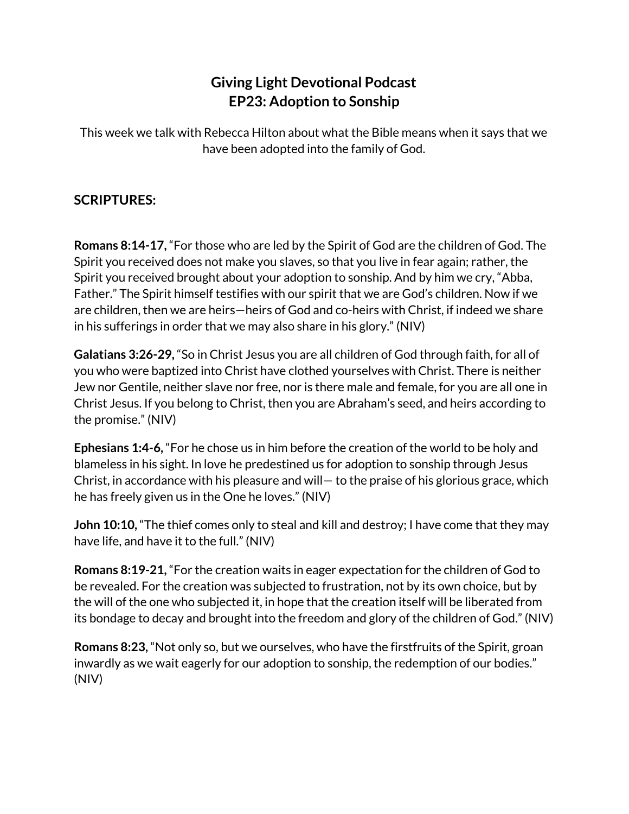## **Giving Light Devotional Podcast EP23: Adoption to Sonship**

This week we talk with Rebecca Hilton about what the Bible means when it says that we have been adopted into the family of God.

## **SCRIPTURES:**

**Romans 8:14-17,** "For those who are led by the Spirit of God are the children of God. The Spirit you received does not make you slaves, so that you live in fear again; rather, the Spirit you received brought about your adoption to sonship. And by him we cry, "Abba, Father." The Spirit himself testifies with our spirit that we are God's children. Now if we are children, then we are heirs—heirs of God and co-heirs with Christ, if indeed we share in his sufferings in order that we may also share in his glory." (NIV)

**Galatians 3:26-29,** "So in Christ Jesus you are all children of God through faith, for all of you who were baptized into Christ have clothed yourselves with Christ. There is neither Jew nor Gentile, neither slave nor free, nor is there male and female, for you are all one in Christ Jesus. If you belong to Christ, then you are Abraham's seed, and heirs according to the promise." (NIV)

**Ephesians 1:4-6,** "For he chose us in him before the creation of the world to be holy and blameless in his sight. In love he predestined us for adoption to sonship through Jesus Christ, in accordance with his pleasure and will— to the praise of his glorious grace, which he has freely given us in the One he loves." (NIV)

**John 10:10,** "The thief comes only to steal and kill and destroy; I have come that they may have life, and have it to the full." (NIV)

**Romans 8:19-21,** "For the creation waits in eager expectation for the children of God to be revealed. For the creation was subjected to frustration, not by its own choice, but by the will of the one who subjected it, in hope that the creation itself will be liberated from its bondage to decay and brought into the freedom and glory of the children of God." (NIV)

**Romans 8:23,** "Not only so, but we ourselves, who have the firstfruits of the Spirit, groan inwardly as we wait eagerly for our adoption to sonship, the redemption of our bodies." (NIV)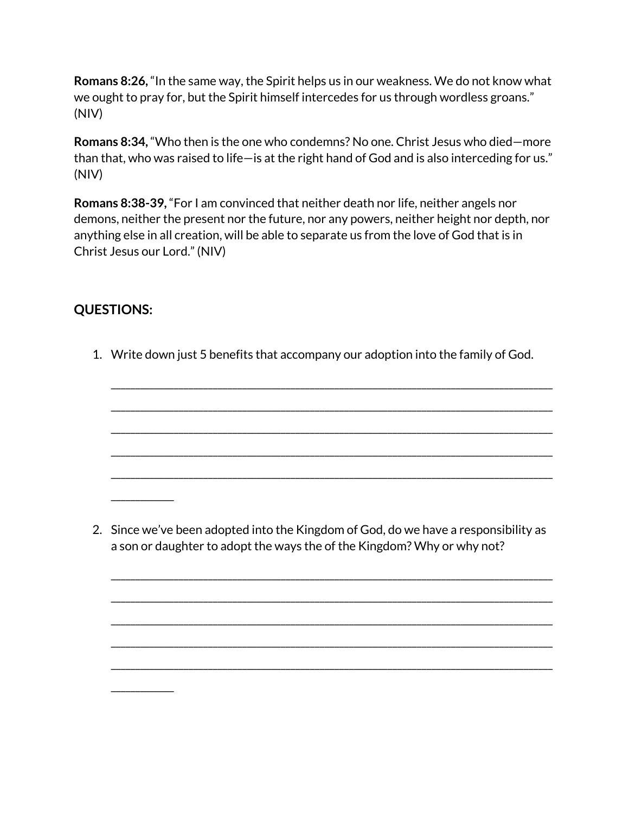**Romans 8:26,** "In the same way, the Spirit helps us in our weakness. We do not know what we ought to pray for, but the Spirit himself intercedes for us through wordless groans." (NIV)

**Romans 8:34,** "Who then is the one who condemns? No one. Christ Jesus who died—more than that, who was raised to life—is at the right hand of God and is also interceding for us." (NIV)

**Romans 8:38-39,** "For I am convinced that neither death nor life, neither angels nor demons, neither the present nor the future, nor any powers, neither height nor depth, nor anything else in all creation, will be able to separate us from the love of God that is in Christ Jesus our Lord." (NIV)

## **QUESTIONS:**

\_\_\_\_\_\_\_\_\_\_\_\_\_

\_\_\_\_\_\_\_\_\_\_\_\_\_

1. Write down just 5 benefits that accompany our adoption into the family of God.

\_\_\_\_\_\_\_\_\_\_\_\_\_\_\_\_\_\_\_\_\_\_\_\_\_\_\_\_\_\_\_\_\_\_\_\_\_\_\_\_\_\_\_\_\_\_\_\_\_\_\_\_\_\_\_\_\_\_\_\_\_\_\_\_\_\_\_\_\_\_\_\_\_\_\_\_\_\_\_\_\_\_\_\_\_\_\_\_\_\_\_

\_\_\_\_\_\_\_\_\_\_\_\_\_\_\_\_\_\_\_\_\_\_\_\_\_\_\_\_\_\_\_\_\_\_\_\_\_\_\_\_\_\_\_\_\_\_\_\_\_\_\_\_\_\_\_\_\_\_\_\_\_\_\_\_\_\_\_\_\_\_\_\_\_\_\_\_\_\_\_\_\_\_\_\_\_\_\_\_\_\_\_

\_\_\_\_\_\_\_\_\_\_\_\_\_\_\_\_\_\_\_\_\_\_\_\_\_\_\_\_\_\_\_\_\_\_\_\_\_\_\_\_\_\_\_\_\_\_\_\_\_\_\_\_\_\_\_\_\_\_\_\_\_\_\_\_\_\_\_\_\_\_\_\_\_\_\_\_\_\_\_\_\_\_\_\_\_\_\_\_\_\_\_

\_\_\_\_\_\_\_\_\_\_\_\_\_\_\_\_\_\_\_\_\_\_\_\_\_\_\_\_\_\_\_\_\_\_\_\_\_\_\_\_\_\_\_\_\_\_\_\_\_\_\_\_\_\_\_\_\_\_\_\_\_\_\_\_\_\_\_\_\_\_\_\_\_\_\_\_\_\_\_\_\_\_\_\_\_\_\_\_\_\_\_

\_\_\_\_\_\_\_\_\_\_\_\_\_\_\_\_\_\_\_\_\_\_\_\_\_\_\_\_\_\_\_\_\_\_\_\_\_\_\_\_\_\_\_\_\_\_\_\_\_\_\_\_\_\_\_\_\_\_\_\_\_\_\_\_\_\_\_\_\_\_\_\_\_\_\_\_\_\_\_\_\_\_\_\_\_\_\_\_\_\_\_

2. Since we've been adopted into the Kingdom of God, do we have a responsibility as a son or daughter to adopt the ways the of the Kingdom? Why or why not?

\_\_\_\_\_\_\_\_\_\_\_\_\_\_\_\_\_\_\_\_\_\_\_\_\_\_\_\_\_\_\_\_\_\_\_\_\_\_\_\_\_\_\_\_\_\_\_\_\_\_\_\_\_\_\_\_\_\_\_\_\_\_\_\_\_\_\_\_\_\_\_\_\_\_\_\_\_\_\_\_\_\_\_\_\_\_\_\_\_\_\_

\_\_\_\_\_\_\_\_\_\_\_\_\_\_\_\_\_\_\_\_\_\_\_\_\_\_\_\_\_\_\_\_\_\_\_\_\_\_\_\_\_\_\_\_\_\_\_\_\_\_\_\_\_\_\_\_\_\_\_\_\_\_\_\_\_\_\_\_\_\_\_\_\_\_\_\_\_\_\_\_\_\_\_\_\_\_\_\_\_\_\_

\_\_\_\_\_\_\_\_\_\_\_\_\_\_\_\_\_\_\_\_\_\_\_\_\_\_\_\_\_\_\_\_\_\_\_\_\_\_\_\_\_\_\_\_\_\_\_\_\_\_\_\_\_\_\_\_\_\_\_\_\_\_\_\_\_\_\_\_\_\_\_\_\_\_\_\_\_\_\_\_\_\_\_\_\_\_\_\_\_\_\_

\_\_\_\_\_\_\_\_\_\_\_\_\_\_\_\_\_\_\_\_\_\_\_\_\_\_\_\_\_\_\_\_\_\_\_\_\_\_\_\_\_\_\_\_\_\_\_\_\_\_\_\_\_\_\_\_\_\_\_\_\_\_\_\_\_\_\_\_\_\_\_\_\_\_\_\_\_\_\_\_\_\_\_\_\_\_\_\_\_\_\_

\_\_\_\_\_\_\_\_\_\_\_\_\_\_\_\_\_\_\_\_\_\_\_\_\_\_\_\_\_\_\_\_\_\_\_\_\_\_\_\_\_\_\_\_\_\_\_\_\_\_\_\_\_\_\_\_\_\_\_\_\_\_\_\_\_\_\_\_\_\_\_\_\_\_\_\_\_\_\_\_\_\_\_\_\_\_\_\_\_\_\_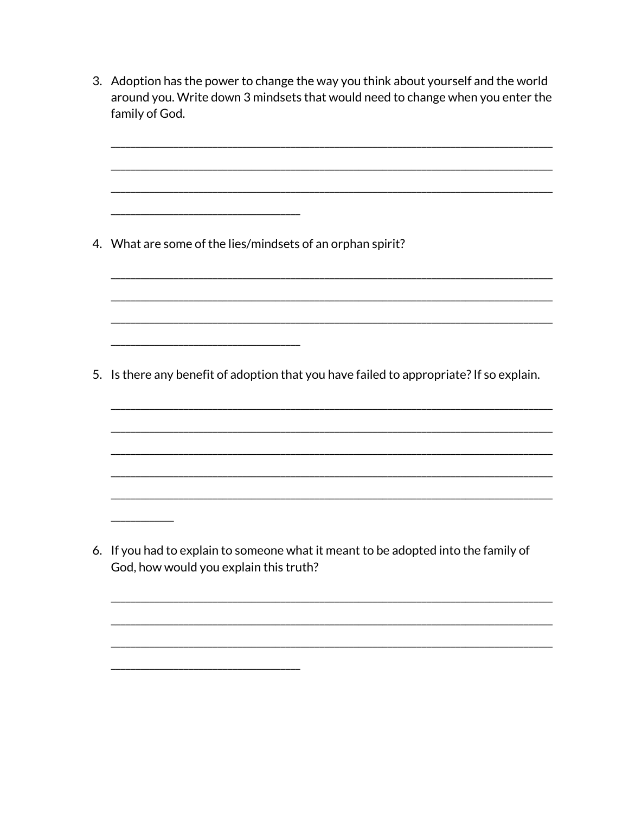3. Adoption has the power to change the way you think about yourself and the world around you. Write down 3 mindsets that would need to change when you enter the family of God. 4. What are some of the lies/mindsets of an orphan spirit? 5. Is there any benefit of adoption that you have failed to appropriate? If so explain. 6. If you had to explain to someone what it meant to be adopted into the family of God, how would you explain this truth?